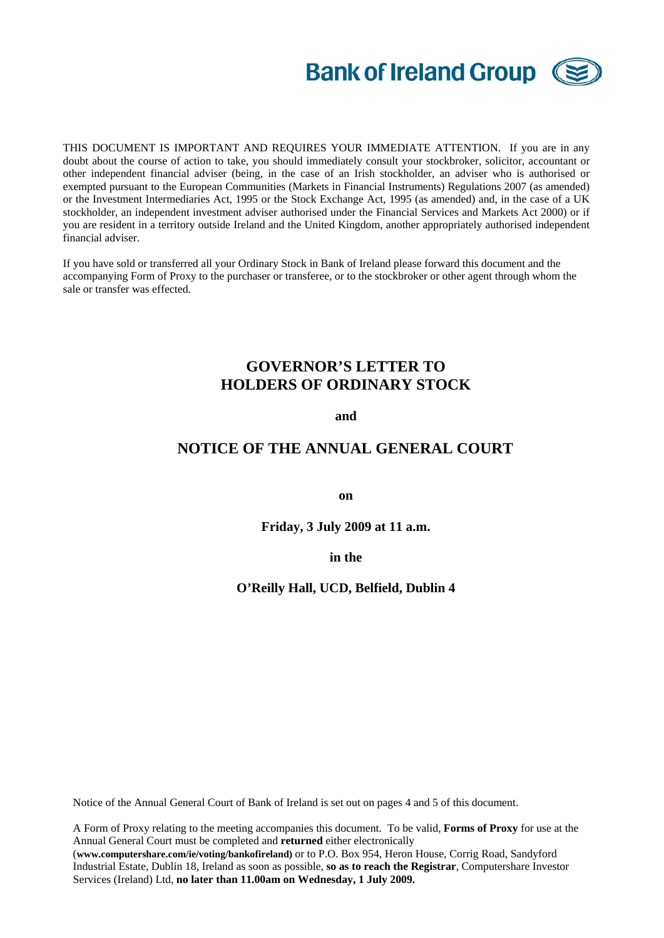

THIS DOCUMENT IS IMPORTANT AND REQUIRES YOUR IMMEDIATE ATTENTION. If you are in any doubt about the course of action to take, you should immediately consult your stockbroker, solicitor, accountant or other independent financial adviser (being, in the case of an Irish stockholder, an adviser who is authorised or exempted pursuant to the European Communities (Markets in Financial Instruments) Regulations 2007 (as amended) or the Investment Intermediaries Act, 1995 or the Stock Exchange Act, 1995 (as amended) and, in the case of a UK stockholder, an independent investment adviser authorised under the Financial Services and Markets Act 2000) or if you are resident in a territory outside Ireland and the United Kingdom, another appropriately authorised independent financial adviser.

If you have sold or transferred all your Ordinary Stock in Bank of Ireland please forward this document and the accompanying Form of Proxy to the purchaser or transferee, or to the stockbroker or other agent through whom the sale or transfer was effected.

# **GOVERNOR'S LETTER TO HOLDERS OF ORDINARY STOCK**

**and** 

### **NOTICE OF THE ANNUAL GENERAL COURT**

**on** 

**Friday, 3 July 2009 at 11 a.m.** 

**in the** 

#### **O'Reilly Hall, UCD, Belfield, Dublin 4**

Notice of the Annual General Court of Bank of Ireland is set out on pages 4 and 5 of this document.

A Form of Proxy relating to the meeting accompanies this document. To be valid, **Forms of Proxy** for use at the Annual General Court must be completed and **returned** either electronically

(**[www.computershare.com/ie/voting/bankofireland](http://www.computershare.com/ie/voting/bankofireland))** or to P.O. Box 954, Heron House, Corrig Road, Sandyford Industrial Estate, Dublin 18, Ireland as soon as possible, **so as to reach the Registrar**, Computershare Investor Services (Ireland) Ltd, **no later than 11.00am on Wednesday, 1 July 2009.**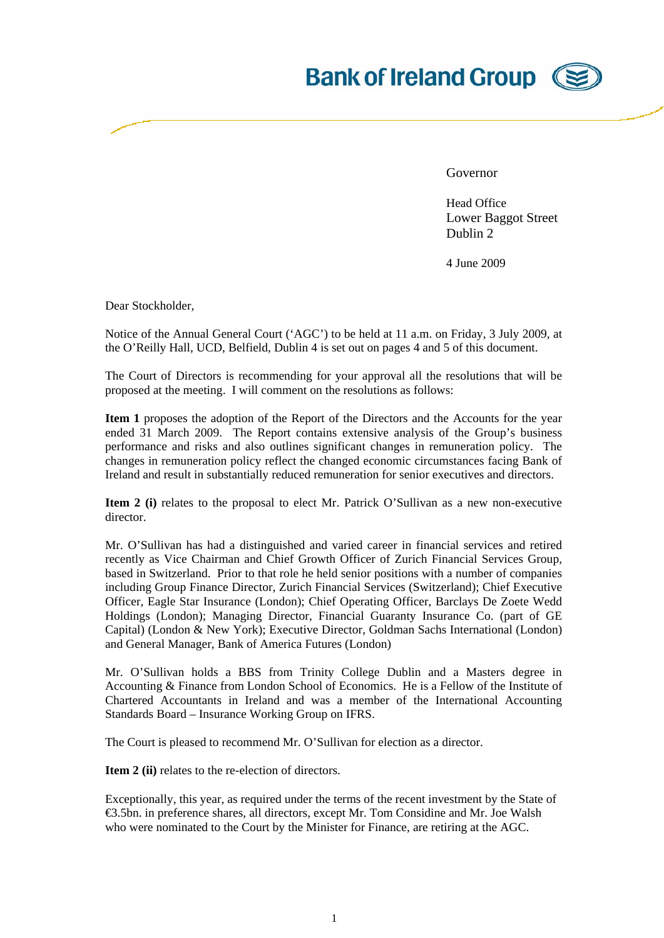# **Bank of Ireland Group**

Governor

Head Office Lower Baggot Street Dublin 2

4 June 2009

Dear Stockholder,

Notice of the Annual General Court ('AGC') to be held at 11 a.m. on Friday, 3 July 2009, at the O'Reilly Hall, UCD, Belfield, Dublin 4 is set out on pages 4 and 5 of this document.

The Court of Directors is recommending for your approval all the resolutions that will be proposed at the meeting. I will comment on the resolutions as follows:

**Item 1** proposes the adoption of the Report of the Directors and the Accounts for the year ended 31 March 2009. The Report contains extensive analysis of the Group's business performance and risks and also outlines significant changes in remuneration policy. The changes in remuneration policy reflect the changed economic circumstances facing Bank of Ireland and result in substantially reduced remuneration for senior executives and directors.

**Item 2 (i)** relates to the proposal to elect Mr. Patrick O'Sullivan as a new non-executive director.

Mr. O'Sullivan has had a distinguished and varied career in financial services and retired recently as Vice Chairman and Chief Growth Officer of Zurich Financial Services Group, based in Switzerland. Prior to that role he held senior positions with a number of companies including Group Finance Director, Zurich Financial Services (Switzerland); Chief Executive Officer, Eagle Star Insurance (London); Chief Operating Officer, Barclays De Zoete Wedd Holdings (London); Managing Director, Financial Guaranty Insurance Co. (part of GE Capital) (London & New York); Executive Director, Goldman Sachs International (London) and General Manager, Bank of America Futures (London)

Mr. O'Sullivan holds a BBS from Trinity College Dublin and a Masters degree in Accounting & Finance from London School of Economics. He is a Fellow of the Institute of Chartered Accountants in Ireland and was a member of the International Accounting Standards Board – Insurance Working Group on IFRS.

The Court is pleased to recommend Mr. O'Sullivan for election as a director.

**Item 2 (ii)** relates to the re-election of directors.

Exceptionally, this year, as required under the terms of the recent investment by the State of €3.5bn. in preference shares, all directors, except Mr. Tom Considine and Mr. Joe Walsh who were nominated to the Court by the Minister for Finance, are retiring at the AGC.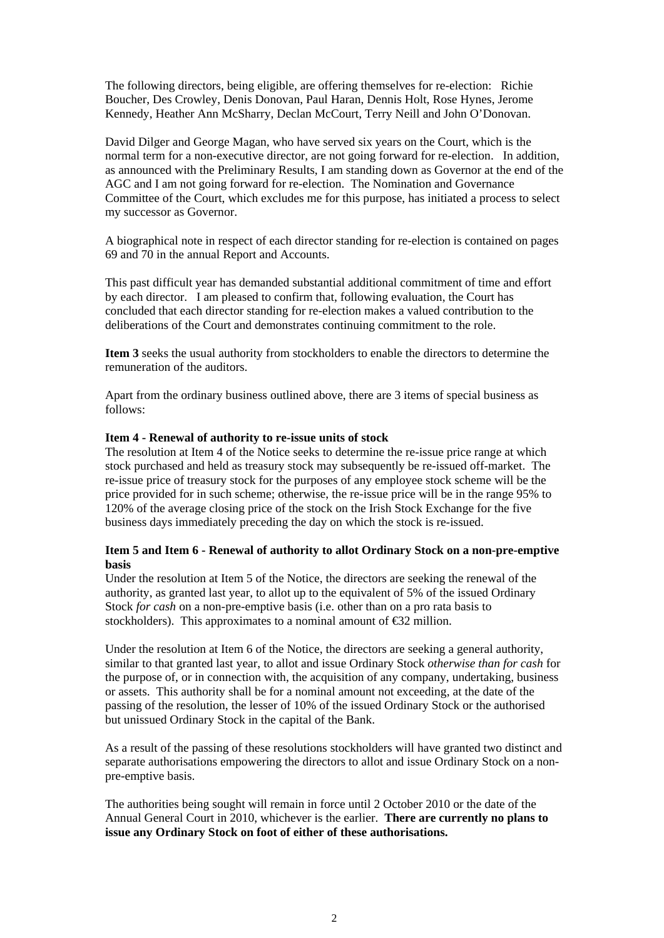The following directors, being eligible, are offering themselves for re-election: Richie Boucher, Des Crowley, Denis Donovan, Paul Haran, Dennis Holt, Rose Hynes, Jerome Kennedy, Heather Ann McSharry, Declan McCourt, Terry Neill and John O'Donovan.

David Dilger and George Magan, who have served six years on the Court, which is the normal term for a non-executive director, are not going forward for re-election. In addition, as announced with the Preliminary Results, I am standing down as Governor at the end of the AGC and I am not going forward for re-election. The Nomination and Governance Committee of the Court, which excludes me for this purpose, has initiated a process to select my successor as Governor.

A biographical note in respect of each director standing for re-election is contained on pages 69 and 70 in the annual Report and Accounts.

This past difficult year has demanded substantial additional commitment of time and effort by each director. I am pleased to confirm that, following evaluation, the Court has concluded that each director standing for re-election makes a valued contribution to the deliberations of the Court and demonstrates continuing commitment to the role.

**Item 3** seeks the usual authority from stockholders to enable the directors to determine the remuneration of the auditors.

Apart from the ordinary business outlined above, there are 3 items of special business as follows:

#### **Item 4 - Renewal of authority to re-issue units of stock**

The resolution at Item 4 of the Notice seeks to determine the re-issue price range at which stock purchased and held as treasury stock may subsequently be re-issued off-market. The re-issue price of treasury stock for the purposes of any employee stock scheme will be the price provided for in such scheme; otherwise, the re-issue price will be in the range 95% to 120% of the average closing price of the stock on the Irish Stock Exchange for the five business days immediately preceding the day on which the stock is re-issued.

#### **Item 5 and Item 6 - Renewal of authority to allot Ordinary Stock on a non-pre-emptive basis**

Under the resolution at Item 5 of the Notice, the directors are seeking the renewal of the authority, as granted last year, to allot up to the equivalent of 5% of the issued Ordinary Stock *for cash* on a non-pre-emptive basis (i.e. other than on a pro rata basis to stockholders). This approximates to a nominal amount of  $\epsilon$ 32 million.

Under the resolution at Item 6 of the Notice, the directors are seeking a general authority, similar to that granted last year, to allot and issue Ordinary Stock *otherwise than for cash* for the purpose of, or in connection with, the acquisition of any company, undertaking, business or assets. This authority shall be for a nominal amount not exceeding, at the date of the passing of the resolution, the lesser of 10% of the issued Ordinary Stock or the authorised but unissued Ordinary Stock in the capital of the Bank.

As a result of the passing of these resolutions stockholders will have granted two distinct and separate authorisations empowering the directors to allot and issue Ordinary Stock on a nonpre-emptive basis.

The authorities being sought will remain in force until 2 October 2010 or the date of the Annual General Court in 2010, whichever is the earlier. **There are currently no plans to issue any Ordinary Stock on foot of either of these authorisations.**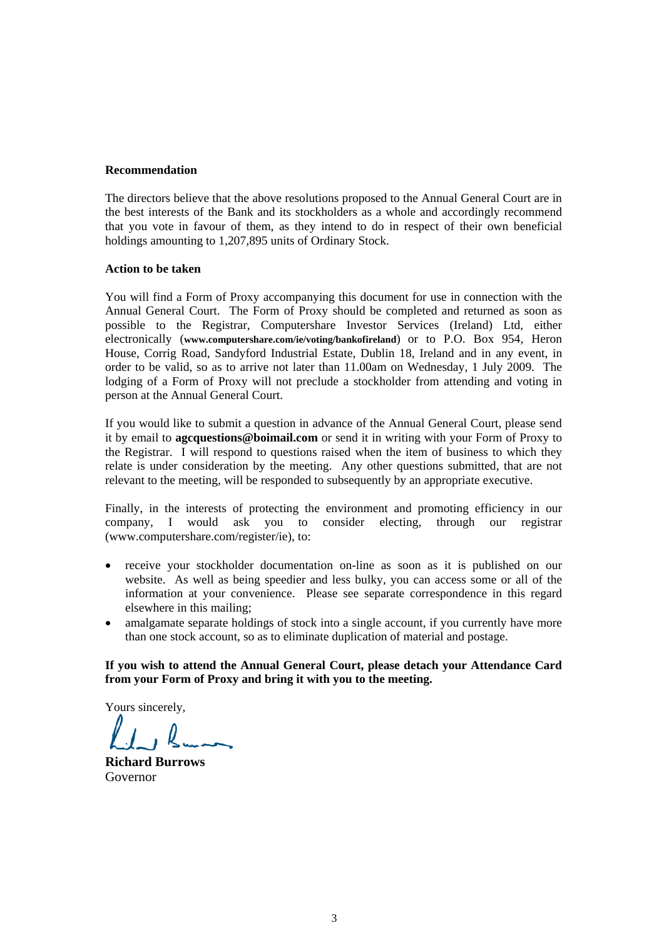#### **Recommendation**

The directors believe that the above resolutions proposed to the Annual General Court are in the best interests of the Bank and its stockholders as a whole and accordingly recommend that you vote in favour of them, as they intend to do in respect of their own beneficial holdings amounting to 1,207,895 units of Ordinary Stock.

#### **Action to be taken**

You will find a Form of Proxy accompanying this document for use in connection with the Annual General Court. The Form of Proxy should be completed and returned as soon as possible to the Registrar, Computershare Investor Services (Ireland) Ltd, either electronically (**[www.computershare.com/ie/voting/bankofireland](http://www.computershare.com/ie/voting/bankofireland)**) or to P.O. Box 954, Heron House, Corrig Road, Sandyford Industrial Estate, Dublin 18, Ireland and in any event, in order to be valid, so as to arrive not later than 11.00am on Wednesday, 1 July 2009. The lodging of a Form of Proxy will not preclude a stockholder from attending and voting in person at the Annual General Court.

If you would like to submit a question in advance of the Annual General Court, please send it by email to **agcquestions@boimail.com** or send it in writing with your Form of Proxy to the Registrar. I will respond to questions raised when the item of business to which they relate is under consideration by the meeting. Any other questions submitted, that are not relevant to the meeting, will be responded to subsequently by an appropriate executive.

Finally, in the interests of protecting the environment and promoting efficiency in our company, I would ask you to consider electing, through our registrar (www.computershare.com/register/ie), to:

- receive your stockholder documentation on-line as soon as it is published on our website. As well as being speedier and less bulky, you can access some or all of the information at your convenience. Please see separate correspondence in this regard elsewhere in this mailing;
- amalgamate separate holdings of stock into a single account, if you currently have more than one stock account, so as to eliminate duplication of material and postage.

#### **If you wish to attend the Annual General Court, please detach your Attendance Card from your Form of Proxy and bring it with you to the meeting.**

Yours sincerely,

**Richard Burrows**  Governor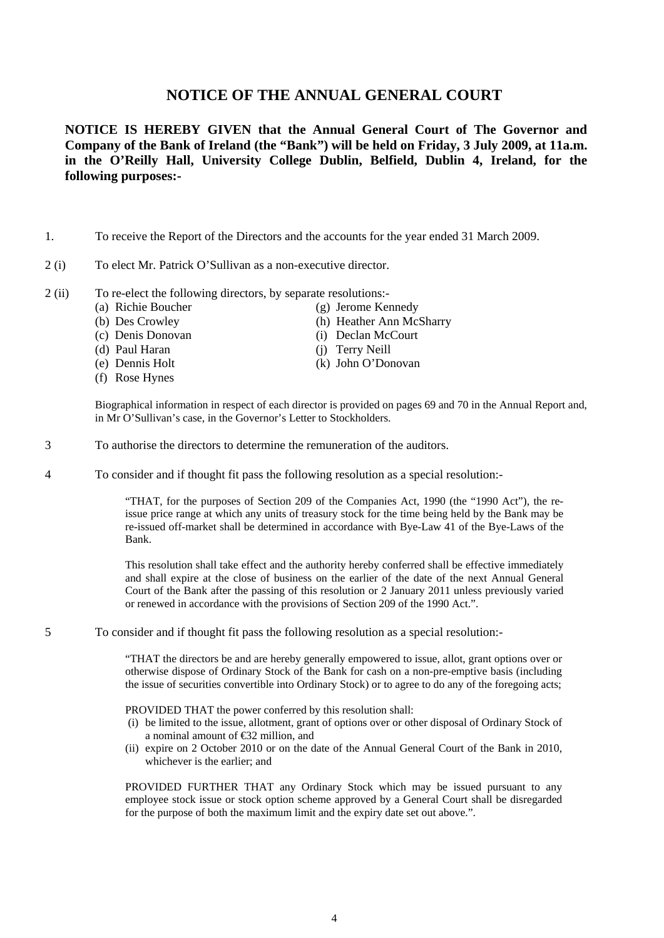## **NOTICE OF THE ANNUAL GENERAL COURT**

**NOTICE IS HEREBY GIVEN that the Annual General Court of The Governor and Company of the Bank of Ireland (the "Bank") will be held on Friday, 3 July 2009, at 11a.m. in the O'Reilly Hall, University College Dublin, Belfield, Dublin 4, Ireland, for the following purposes:-** 

- 1. To receive the Report of the Directors and the accounts for the year ended 31 March 2009.
- 2 (i) To elect Mr. Patrick O'Sullivan as a non-executive director.
- 2 (ii) To re-elect the following directors, by separate resolutions:-
	- (a) Richie Boucher (g) Jerome Kennedy
	-
	- (c) Denis Donovan (i) Declan McCourt
	- (d) Paul Haran (j) Terry Neill
	-
	- (f) Rose Hynes
- 
- (b) Des Crowley (h) Heather Ann McSharry
	-
	-
- (e) Dennis Holt (k) John O'Donovan

Biographical information in respect of each director is provided on pages 69 and 70 in the Annual Report and, in Mr O'Sullivan's case, in the Governor's Letter to Stockholders.

- 3 To authorise the directors to determine the remuneration of the auditors.
- 4 To consider and if thought fit pass the following resolution as a special resolution:-

"THAT, for the purposes of Section 209 of the Companies Act, 1990 (the "1990 Act"), the reissue price range at which any units of treasury stock for the time being held by the Bank may be re-issued off-market shall be determined in accordance with Bye-Law 41 of the Bye-Laws of the Bank.

This resolution shall take effect and the authority hereby conferred shall be effective immediately and shall expire at the close of business on the earlier of the date of the next Annual General Court of the Bank after the passing of this resolution or 2 January 2011 unless previously varied or renewed in accordance with the provisions of Section 209 of the 1990 Act.".

5 To consider and if thought fit pass the following resolution as a special resolution:-

"THAT the directors be and are hereby generally empowered to issue, allot, grant options over or otherwise dispose of Ordinary Stock of the Bank for cash on a non-pre-emptive basis (including the issue of securities convertible into Ordinary Stock) or to agree to do any of the foregoing acts;

#### PROVIDED THAT the power conferred by this resolution shall:

- (i) be limited to the issue, allotment, grant of options over or other disposal of Ordinary Stock of a nominal amount of €32 million, and
- (ii) expire on 2 October 2010 or on the date of the Annual General Court of the Bank in 2010, whichever is the earlier; and

PROVIDED FURTHER THAT any Ordinary Stock which may be issued pursuant to any employee stock issue or stock option scheme approved by a General Court shall be disregarded for the purpose of both the maximum limit and the expiry date set out above.".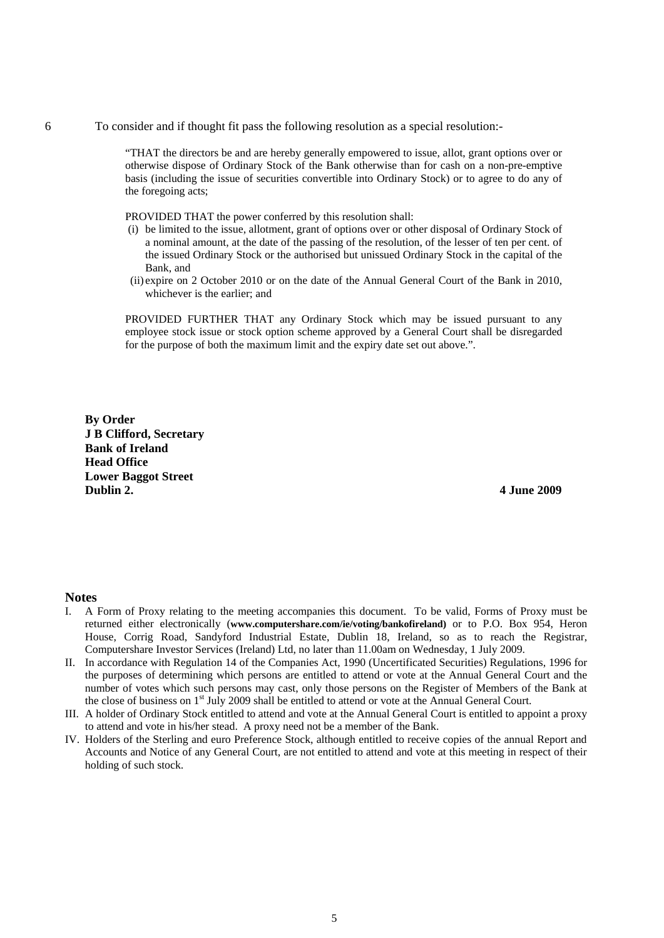6 To consider and if thought fit pass the following resolution as a special resolution:-

"THAT the directors be and are hereby generally empowered to issue, allot, grant options over or otherwise dispose of Ordinary Stock of the Bank otherwise than for cash on a non-pre-emptive basis (including the issue of securities convertible into Ordinary Stock) or to agree to do any of the foregoing acts;

PROVIDED THAT the power conferred by this resolution shall:

- (i) be limited to the issue, allotment, grant of options over or other disposal of Ordinary Stock of a nominal amount, at the date of the passing of the resolution, of the lesser of ten per cent. of the issued Ordinary Stock or the authorised but unissued Ordinary Stock in the capital of the Bank, and
- (ii) expire on 2 October 2010 or on the date of the Annual General Court of the Bank in 2010, whichever is the earlier; and

PROVIDED FURTHER THAT any Ordinary Stock which may be issued pursuant to any employee stock issue or stock option scheme approved by a General Court shall be disregarded for the purpose of both the maximum limit and the expiry date set out above.".

**By Order J B Clifford, Secretary Bank of Ireland Head Office Lower Baggot Street Dublin 2. 4 June 2009** 

#### **Notes**

- I. A Form of Proxy relating to the meeting accompanies this document. To be valid, Forms of Proxy must be returned either electronically (**[www.computershare.com/ie/voting/bankofireland](http://www.computershare.com/ie/voting/bankofireland))** or to P.O. Box 954, Heron House, Corrig Road, Sandyford Industrial Estate, Dublin 18, Ireland, so as to reach the Registrar, Computershare Investor Services (Ireland) Ltd, no later than 11.00am on Wednesday, 1 July 2009.
- II. In accordance with Regulation 14 of the Companies Act, 1990 (Uncertificated Securities) Regulations, 1996 for the purposes of determining which persons are entitled to attend or vote at the Annual General Court and the number of votes which such persons may cast, only those persons on the Register of Members of the Bank at the close of business on 1<sup>st</sup> July 2009 shall be entitled to attend or vote at the Annual General Court.
- III. A holder of Ordinary Stock entitled to attend and vote at the Annual General Court is entitled to appoint a proxy to attend and vote in his/her stead. A proxy need not be a member of the Bank.
- IV. Holders of the Sterling and euro Preference Stock, although entitled to receive copies of the annual Report and Accounts and Notice of any General Court, are not entitled to attend and vote at this meeting in respect of their holding of such stock.